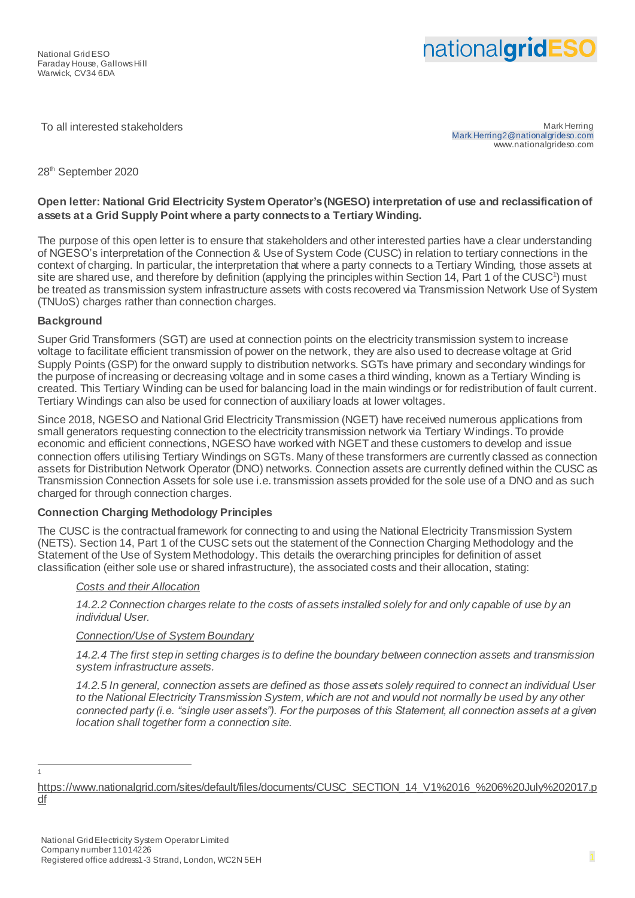# nationalgridESC

To all interested stakeholders and the state of the state of the state of the state of the Mark Herring of the Mark Herring of the Mark Herring of the Mark Herring of the Mark Herring of the Mark Herring of the Mark Herrin Mark.Herring2@nationalgrideso.com www.nationalgrideso.com

### 28<sup>th</sup> September 2020

## **Open letter: National Grid Electricity System Operator's(NGESO) interpretation of use and reclassification of assets at a Grid Supply Point where a party connects to a Tertiary Winding.**

The purpose of this open letter is to ensure that stakeholders and other interested parties have a clear understanding of NGESO's interpretation of the Connection & Use of System Code (CUSC) in relation to tertiary connections in the context of charging. In particular, the interpretation that where a party connects to a Tertiary Winding, those assets at site are shared use, and therefore by definition (applying the principles within Section 14, Part 1 of the CUSC<sup>1</sup>) must be treated as transmission system infrastructure assets with costs recovered via Transmission Network Use of System (TNUoS) charges rather than connection charges.

#### **Background**

Super Grid Transformers (SGT) are used at connection points on the electricity transmission system to increase voltage to facilitate efficient transmission of power on the network, they are also used to decrease voltage at Grid Supply Points (GSP) for the onward supply to distribution networks. SGTs have primary and secondary windings for the purpose of increasing or decreasing voltage and in some cases a third winding, known as a Tertiary Winding is created. This Tertiary Winding can be used for balancing load in the main windings or for redistribution of fault current. Tertiary Windings can also be used for connection of auxiliary loads at lower voltages.

Since 2018, NGESO and National Grid Electricity Transmission (NGET) have received numerous applications from small generators requesting connection to the electricity transmission network via Tertiary Windings. To provide economic and efficient connections, NGESO have worked with NGET and these customers to develop and issue connection offers utilising Tertiary Windings on SGTs. Many of these transformers are currently classed as connection assets for Distribution Network Operator (DNO) networks. Connection assets are currently defined within the CUSC as Transmission Connection Assets for sole use i.e. transmission assets provided for the sole use of a DNO and as such charged for through connection charges.

#### **Connection Charging Methodology Principles**

The CUSC is the contractual framework for connecting to and using the National Electricity Transmission System (NETS). Section 14, Part 1 of the CUSC sets out the statement of the Connection Charging Methodology and the Statement of the Use of System Methodology. This details the overarching principles for definition of asset classification (either sole use or shared infrastructure), the associated costs and their allocation, stating:

#### *Costs and their Allocation*

*14.2.2 Connection charges relate to the costs of assets installed solely for and only capable of use by an individual User.*

#### *Connection/Use of System Boundary*

*14.2.4 The first step in setting charges is to define the boundary between connection assets and transmission system infrastructure assets.*

*14.2.5 In general, connection assets are defined as those assets solely required to connect an individual User to the National Electricity Transmission System, which are not and would not normally be used by any other connected party (i.e. "single user assets"). For the purposes of this Statement, all connection assets at a given location shall together form a connection site.*

1 1

[https://www.nationalgrid.com/sites/default/files/documents/CUSC\\_SECTION\\_14\\_V1%2016\\_%206%20July%202017.p](https://www.nationalgrid.com/sites/default/files/documents/CUSC_SECTION_14_V1%2016_%206%20July%202017.pdf) [df](https://www.nationalgrid.com/sites/default/files/documents/CUSC_SECTION_14_V1%2016_%206%20July%202017.pdf)